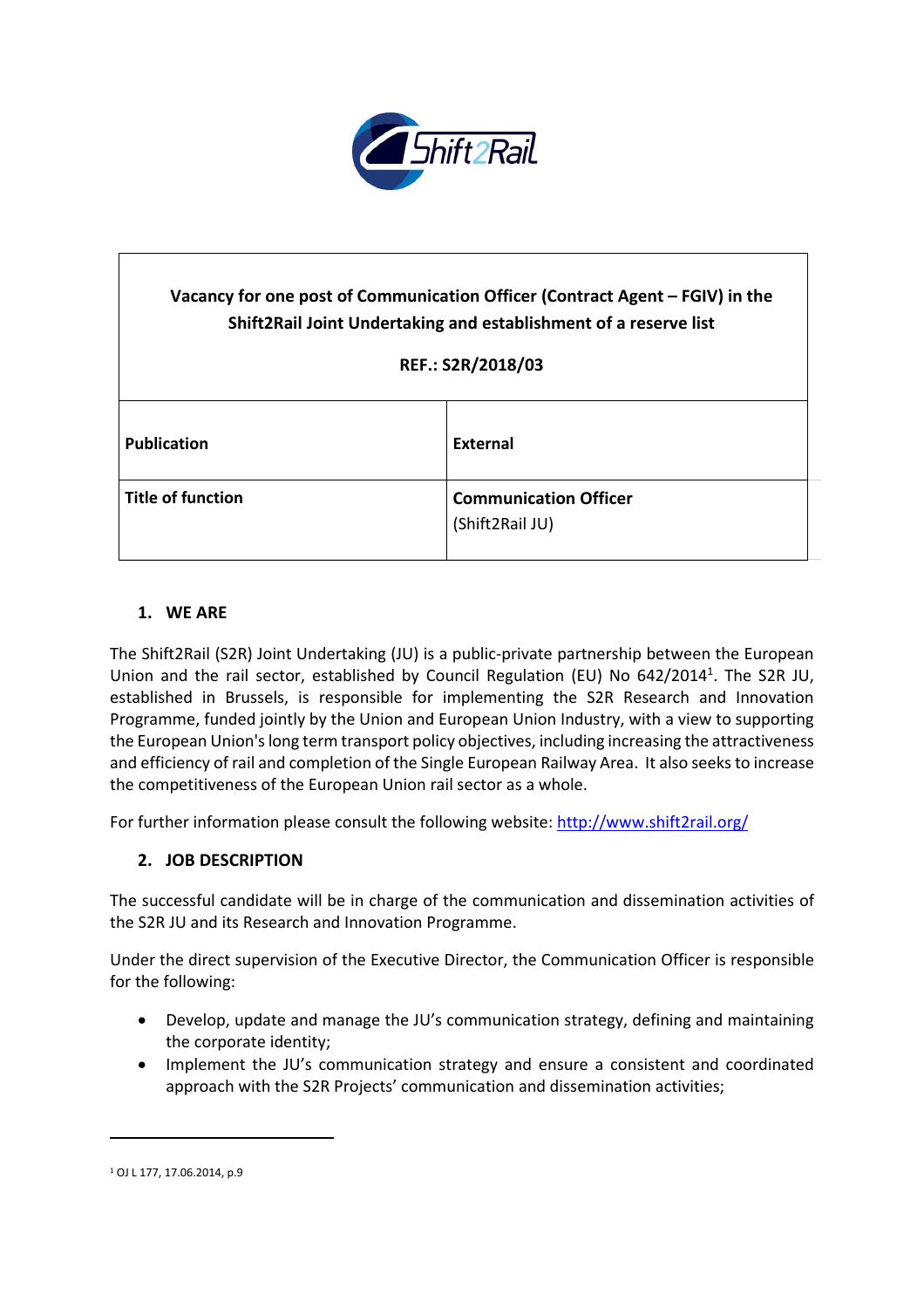

# **Vacancy for one post of Communication Officer (Contract Agent – FGIV) in the Shift2Rail Joint Undertaking and establishment of a reserve list REF.: S2R/2018/03 Publication External Title of function Communication Officer** (Shift2Rail JU)

## **1. WE ARE**

The Shift2Rail (S2R) Joint Undertaking (JU) is a public-private partnership between the European Union and the rail sector, established by Council Regulation (EU) No 642/2014<sup>1</sup>. The S2R JU, established in Brussels, is responsible for implementing the S2R Research and Innovation Programme, funded jointly by the Union and European Union Industry, with a view to supporting the European Union'slong term transport policy objectives, including increasing the attractiveness and efficiency of rail and completion of the Single European Railway Area. It also seeksto increase the competitiveness of the European Union rail sector as a whole.

For further information please consult the following website: <http://www.shift2rail.org/>

#### **2. JOB DESCRIPTION**

The successful candidate will be in charge of the communication and dissemination activities of the S2R JU and its Research and Innovation Programme.

Under the direct supervision of the Executive Director, the Communication Officer is responsible for the following:

- Develop, update and manage the JU's communication strategy, defining and maintaining the corporate identity;
- Implement the JU's communication strategy and ensure a consistent and coordinated approach with the S2R Projects' communication and dissemination activities;

 $\ddot{\phantom{a}}$ 

<sup>1</sup> OJ L 177, 17.06.2014, p.9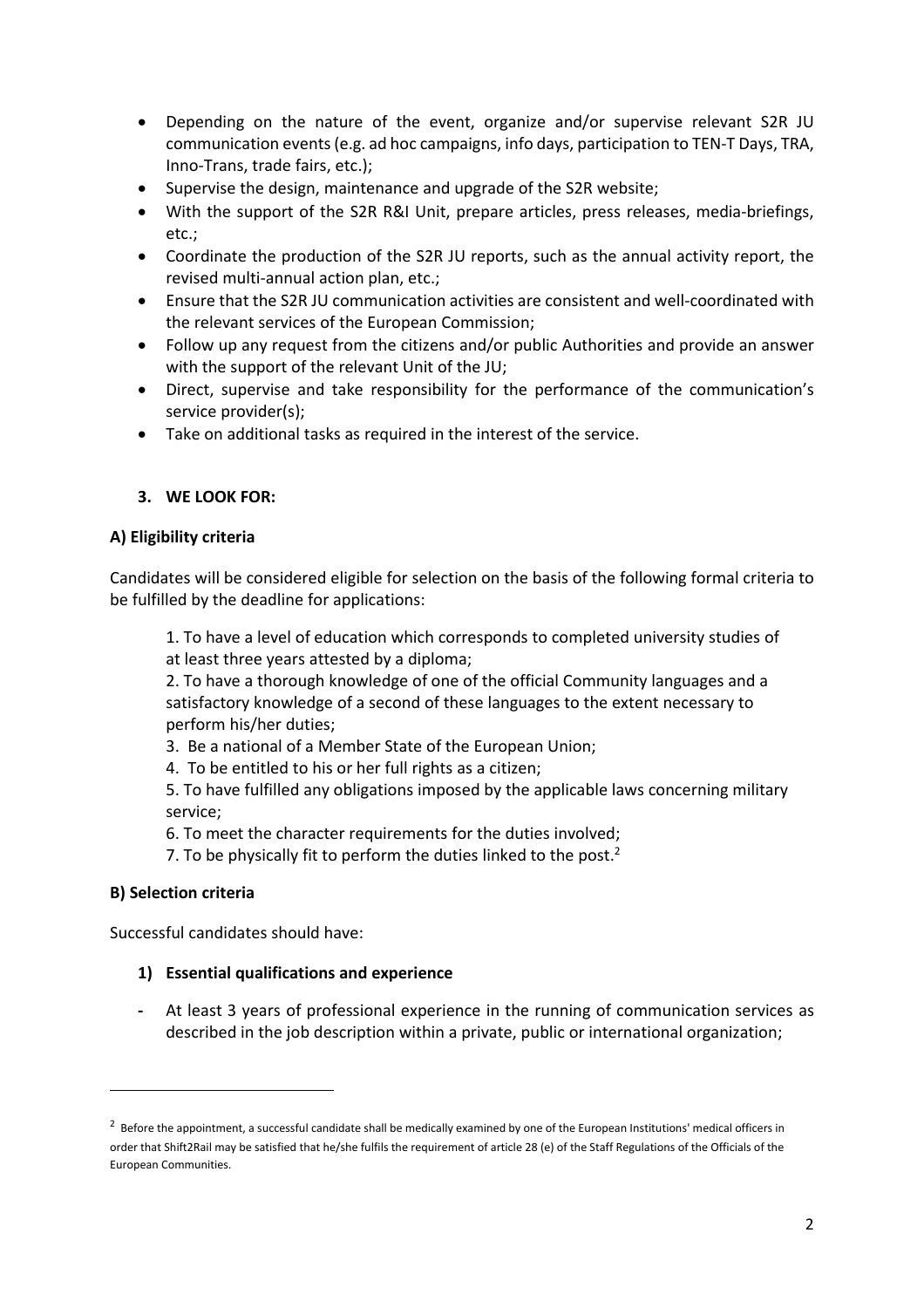- Depending on the nature of the event, organize and/or supervise relevant S2R JU communication events(e.g. ad hoc campaigns, info days, participation to TEN-T Days, TRA, Inno-Trans, trade fairs, etc.);
- Supervise the design, maintenance and upgrade of the S2R website;
- With the support of the S2R R&I Unit, prepare articles, press releases, media-briefings, etc.;
- Coordinate the production of the S2R JU reports, such as the annual activity report, the revised multi-annual action plan, etc.;
- Ensure that the S2R JU communication activities are consistent and well-coordinated with the relevant services of the European Commission;
- Follow up any request from the citizens and/or public Authorities and provide an answer with the support of the relevant Unit of the JU;
- Direct, supervise and take responsibility for the performance of the communication's service provider(s);
- Take on additional tasks as required in the interest of the service.

## **3. WE LOOK FOR:**

### **A) Eligibility criteria**

Candidates will be considered eligible for selection on the basis of the following formal criteria to be fulfilled by the deadline for applications:

1. To have a level of education which corresponds to completed university studies of at least three years attested by a diploma;

2. To have a thorough knowledge of one of the official Community languages and a satisfactory knowledge of a second of these languages to the extent necessary to perform his/her duties;

- 3. Be a national of a Member State of the European Union;
- 4. To be entitled to his or her full rights as a citizen;

5. To have fulfilled any obligations imposed by the applicable laws concerning military service;

6. To meet the character requirements for the duties involved;

7. To be physically fit to perform the duties linked to the post.<sup>2</sup>

#### **B) Selection criteria**

 $\ddot{\phantom{a}}$ 

Successful candidates should have:

#### **1) Essential qualifications and experience**

**-** At least 3 years of professional experience in the running of communication services as described in the job description within a private, public or international organization;

 $^2$  Before the appointment, a successful candidate shall be medically examined by one of the European Institutions' medical officers in order that Shift2Rail may be satisfied that he/she fulfils the requirement of article 28 (e) of the Staff Regulations of the Officials of the European Communities.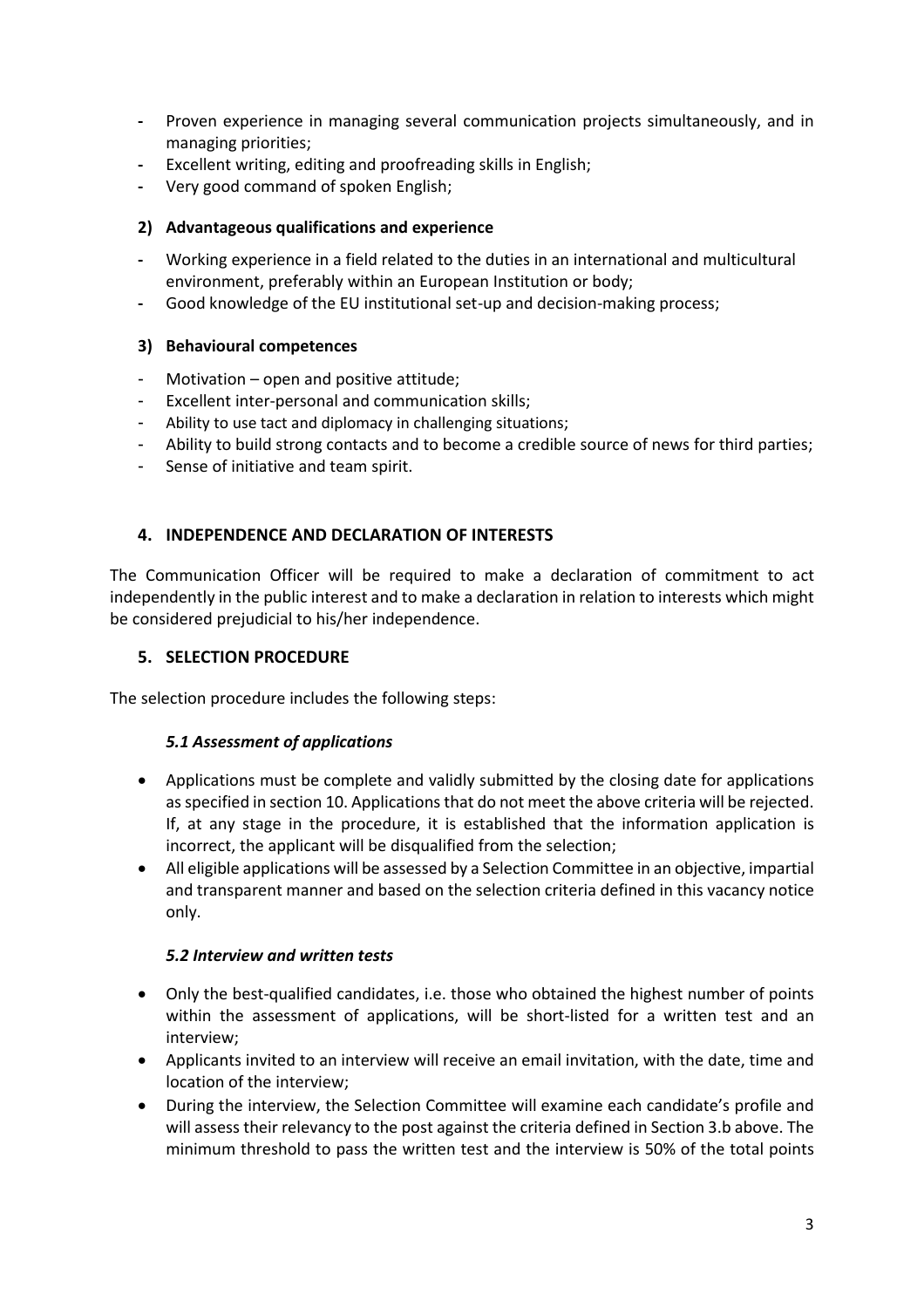- **-** Proven experience in managing several communication projects simultaneously, and in managing priorities;
- **-** Excellent writing, editing and proofreading skills in English;
- **-** Very good command of spoken English;

## **2) Advantageous qualifications and experience**

- **-** Working experience in a field related to the duties in an international and multicultural environment, preferably within an European Institution or body;
- **-** Good knowledge of the EU institutional set-up and decision-making process;

## **3) Behavioural competences**

- Motivation open and positive attitude;
- Excellent inter-personal and communication skills;
- Ability to use tact and diplomacy in challenging situations;
- Ability to build strong contacts and to become a credible source of news for third parties;
- Sense of initiative and team spirit.

# **4. INDEPENDENCE AND DECLARATION OF INTERESTS**

The Communication Officer will be required to make a declaration of commitment to act independently in the public interest and to make a declaration in relation to interests which might be considered prejudicial to his/her independence.

## **5. SELECTION PROCEDURE**

The selection procedure includes the following steps:

## *5.1 Assessment of applications*

- Applications must be complete and validly submitted by the closing date for applications as specified in section 10. Applications that do not meet the above criteria will be rejected. If, at any stage in the procedure, it is established that the information application is incorrect, the applicant will be disqualified from the selection;
- All eligible applications will be assessed by a Selection Committee in an objective, impartial and transparent manner and based on the selection criteria defined in this vacancy notice only.

## *5.2 Interview and written tests*

- Only the best-qualified candidates, i.e. those who obtained the highest number of points within the assessment of applications, will be short-listed for a written test and an interview;
- Applicants invited to an interview will receive an email invitation, with the date, time and location of the interview;
- During the interview, the Selection Committee will examine each candidate's profile and will assess their relevancy to the post against the criteria defined in Section 3.b above. The minimum threshold to pass the written test and the interview is 50% of the total points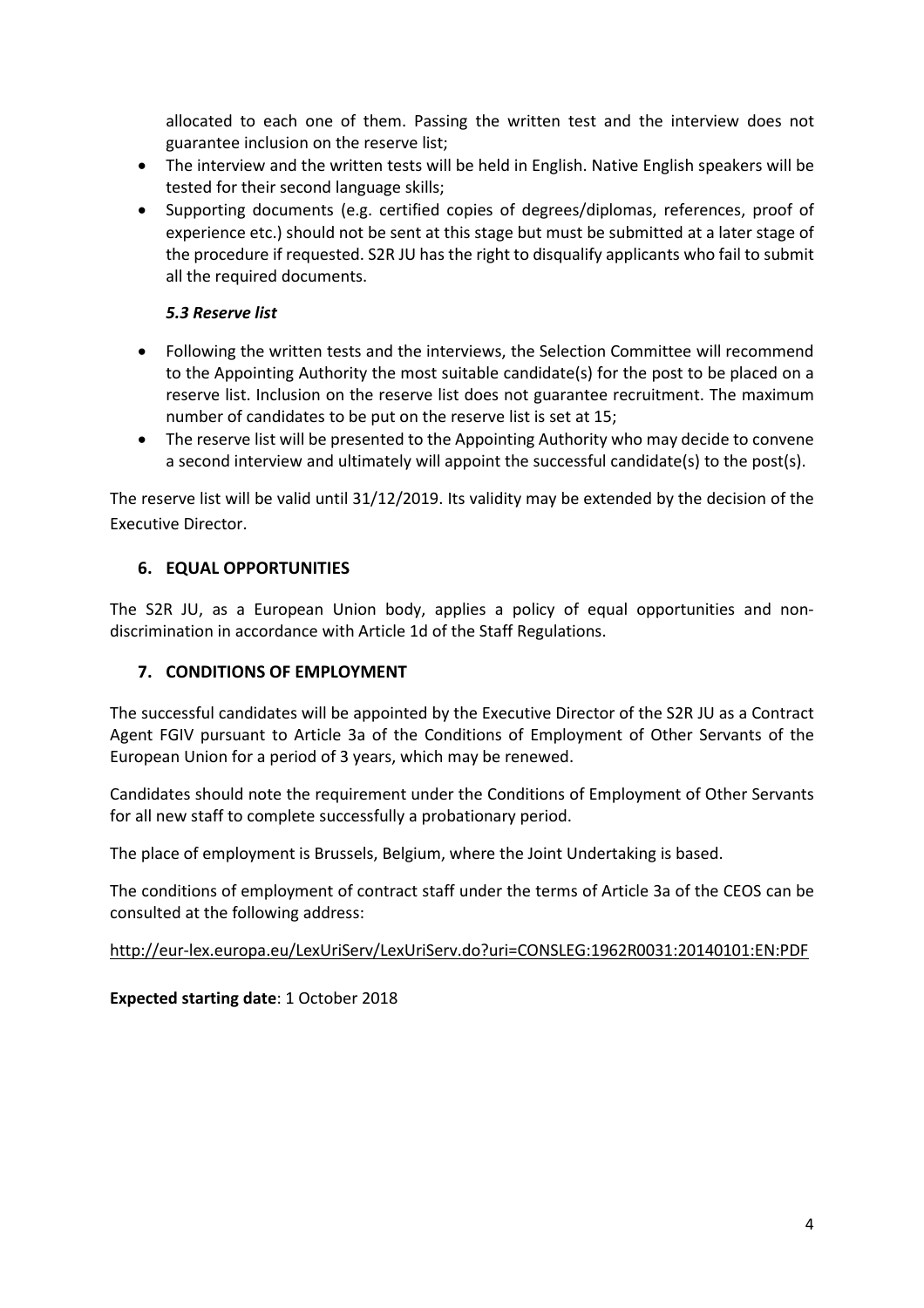allocated to each one of them. Passing the written test and the interview does not guarantee inclusion on the reserve list;

- The interview and the written tests will be held in English. Native English speakers will be tested for their second language skills;
- Supporting documents (e.g. certified copies of degrees/diplomas, references, proof of experience etc.) should not be sent at this stage but must be submitted at a later stage of the procedure if requested. S2R JU has the right to disqualify applicants who fail to submit all the required documents.

## *5.3 Reserve list*

- Following the written tests and the interviews, the Selection Committee will recommend to the Appointing Authority the most suitable candidate(s) for the post to be placed on a reserve list. Inclusion on the reserve list does not guarantee recruitment. The maximum number of candidates to be put on the reserve list is set at 15;
- The reserve list will be presented to the Appointing Authority who may decide to convene a second interview and ultimately will appoint the successful candidate(s) to the post(s).

The reserve list will be valid until 31/12/2019. Its validity may be extended by the decision of the Executive Director.

## **6. EQUAL OPPORTUNITIES**

The S2R JU, as a European Union body, applies a policy of equal opportunities and nondiscrimination in accordance with Article 1d of the Staff Regulations.

#### **7. CONDITIONS OF EMPLOYMENT**

The successful candidates will be appointed by the Executive Director of the S2R JU as a Contract Agent FGIV pursuant to Article 3a of the Conditions of Employment of Other Servants of the European Union for a period of 3 years, which may be renewed.

Candidates should note the requirement under the Conditions of Employment of Other Servants for all new staff to complete successfully a probationary period.

The place of employment is Brussels, Belgium, where the Joint Undertaking is based.

The conditions of employment of contract staff under the terms of Article 3a of the CEOS can be consulted at the following address:

#### <http://eur-lex.europa.eu/LexUriServ/LexUriServ.do?uri=CONSLEG:1962R0031:20140101:EN:PDF>

**Expected starting date**: 1 October 2018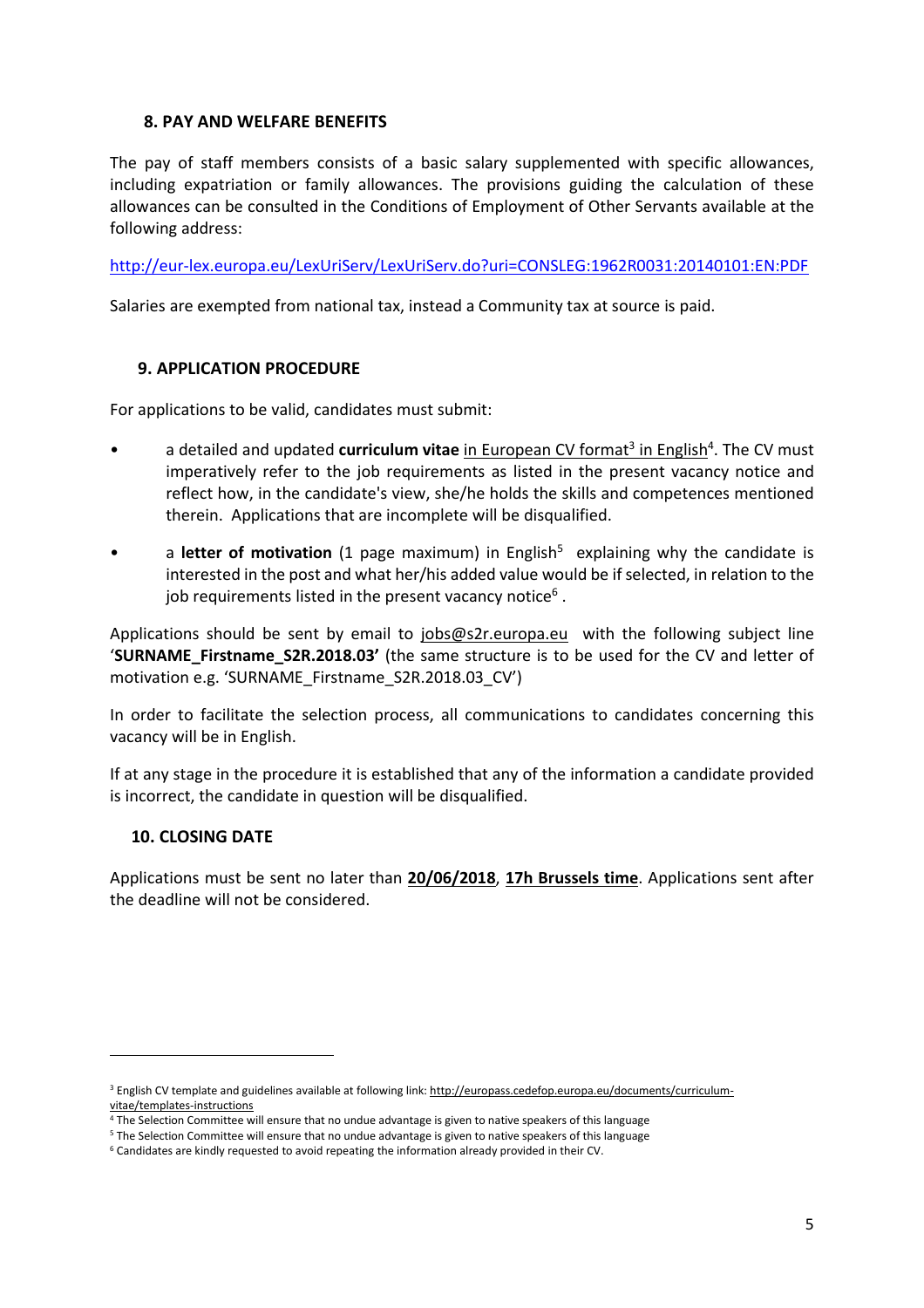#### **8. PAY AND WELFARE BENEFITS**

The pay of staff members consists of a basic salary supplemented with specific allowances, including expatriation or family allowances. The provisions guiding the calculation of these allowances can be consulted in the Conditions of Employment of Other Servants available at the following address:

<http://eur-lex.europa.eu/LexUriServ/LexUriServ.do?uri=CONSLEG:1962R0031:20140101:EN:PDF>

Salaries are exempted from national tax, instead a Community tax at source is paid.

#### **9. APPLICATION PROCEDURE**

For applications to be valid, candidates must submit:

- a detailed and updated **curriculum vitae** in European CV format<sup>3</sup> in English<sup>4</sup>. The CV must imperatively refer to the job requirements as listed in the present vacancy notice and reflect how, in the candidate's view, she/he holds the skills and competences mentioned therein. Applications that are incomplete will be disqualified.
- a letter of motivation (1 page maximum) in English<sup>5</sup> explaining why the candidate is interested in the post and what her/his added value would be if selected, in relation to the job requirements listed in the present vacancy notice<sup>6</sup> .

Applications should be sent by email to [jobs@s2r.europa.eu](mailto:jobs@s2r.europa.eu) with the following subject line '**SURNAME\_Firstname\_S2R.2018.03'** (the same structure is to be used for the CV and letter of motivation e.g. 'SURNAME\_Firstname\_S2R.2018.03\_CV')

In order to facilitate the selection process, all communications to candidates concerning this vacancy will be in English.

If at any stage in the procedure it is established that any of the information a candidate provided is incorrect, the candidate in question will be disqualified.

#### **10. CLOSING DATE**

 $\overline{a}$ 

Applications must be sent no later than **20/06/2018**, **17h Brussels time**. Applications sent after the deadline will not be considered.

<sup>&</sup>lt;sup>3</sup> English CV template and guidelines available at following link: [http://europass.cedefop.europa.eu/documents/curriculum](http://europass.cedefop.europa.eu/documents/curriculum-vitae/templates-instructions)[vitae/templates-instructions](http://europass.cedefop.europa.eu/documents/curriculum-vitae/templates-instructions)

<sup>4</sup> The Selection Committee will ensure that no undue advantage is given to native speakers of this language

<sup>5</sup> The Selection Committee will ensure that no undue advantage is given to native speakers of this language

<sup>6</sup> Candidates are kindly requested to avoid repeating the information already provided in their CV.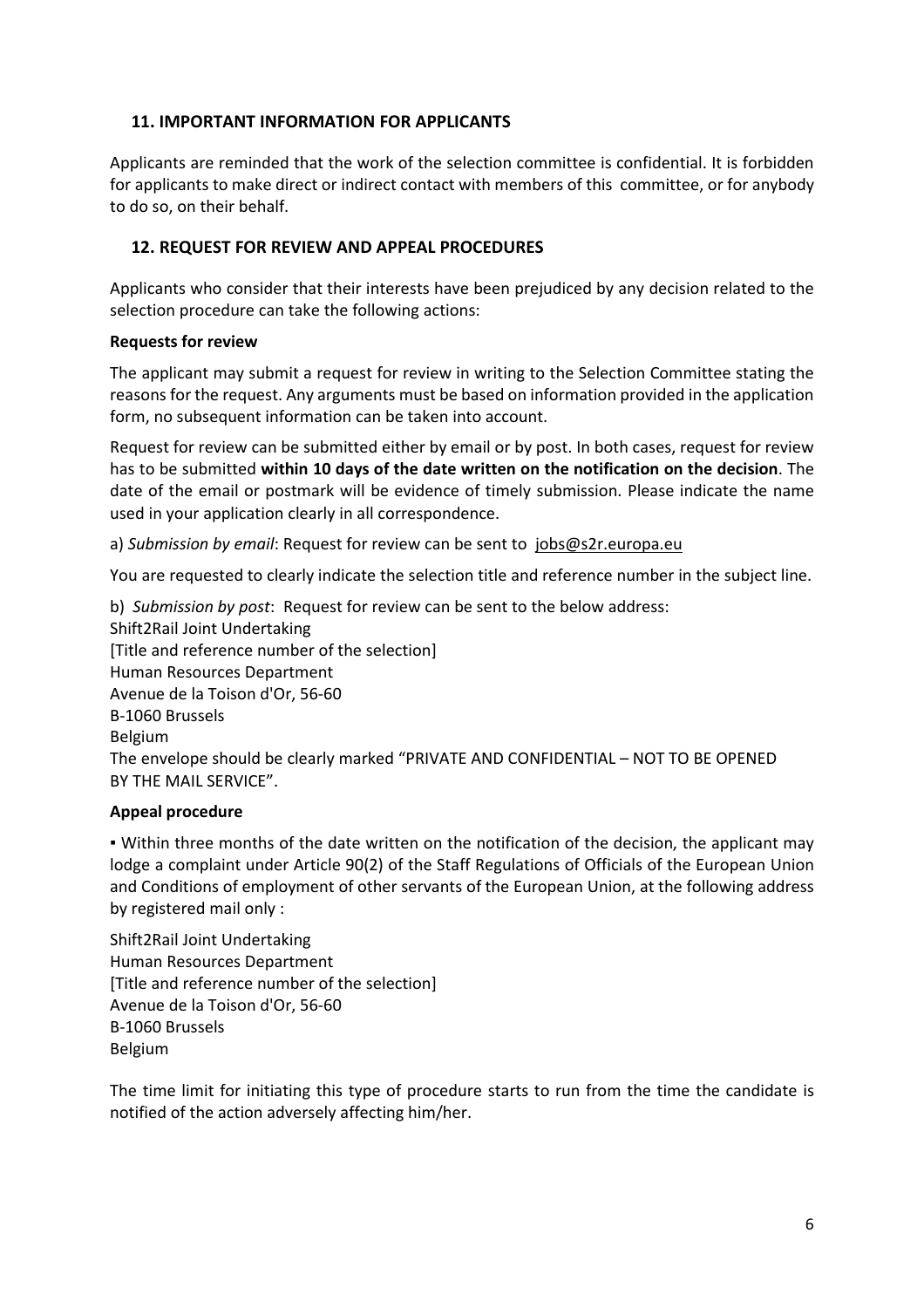### **11. IMPORTANT INFORMATION FOR APPLICANTS**

Applicants are reminded that the work of the selection committee is confidential. It is forbidden for applicants to make direct or indirect contact with members of this committee, or for anybody to do so, on their behalf.

## **12. REQUEST FOR REVIEW AND APPEAL PROCEDURES**

Applicants who consider that their interests have been prejudiced by any decision related to the selection procedure can take the following actions:

#### **Requests for review**

The applicant may submit a request for review in writing to the Selection Committee stating the reasons for the request. Any arguments must be based on information provided in the application form, no subsequent information can be taken into account.

Request for review can be submitted either by email or by post. In both cases, request for review has to be submitted **within 10 days of the date written on the notification on the decision**. The date of the email or postmark will be evidence of timely submission. Please indicate the name used in your application clearly in all correspondence.

a) *Submission by email*: Request for review can be sent to [jobs@s2r.europa.eu](mailto:jobs@s2r.europa.eu)

You are requested to clearly indicate the selection title and reference number in the subject line.

b) *Submission by post*: Request for review can be sent to the below address: Shift2Rail Joint Undertaking [Title and reference number of the selection] Human Resources Department Avenue de la Toison d'Or, 56-60 B-1060 Brussels Belgium The envelope should be clearly marked "PRIVATE AND CONFIDENTIAL – NOT TO BE OPENED BY THE MAIL SERVICE".

#### **Appeal procedure**

▪ Within three months of the date written on the notification of the decision, the applicant may lodge a complaint under Article 90(2) of the Staff Regulations of Officials of the European Union and Conditions of employment of other servants of the European Union, at the following address by registered mail only :

Shift2Rail Joint Undertaking Human Resources Department [Title and reference number of the selection] Avenue de la Toison d'Or, 56-60 B-1060 Brussels Belgium

The time limit for initiating this type of procedure starts to run from the time the candidate is notified of the action adversely affecting him/her.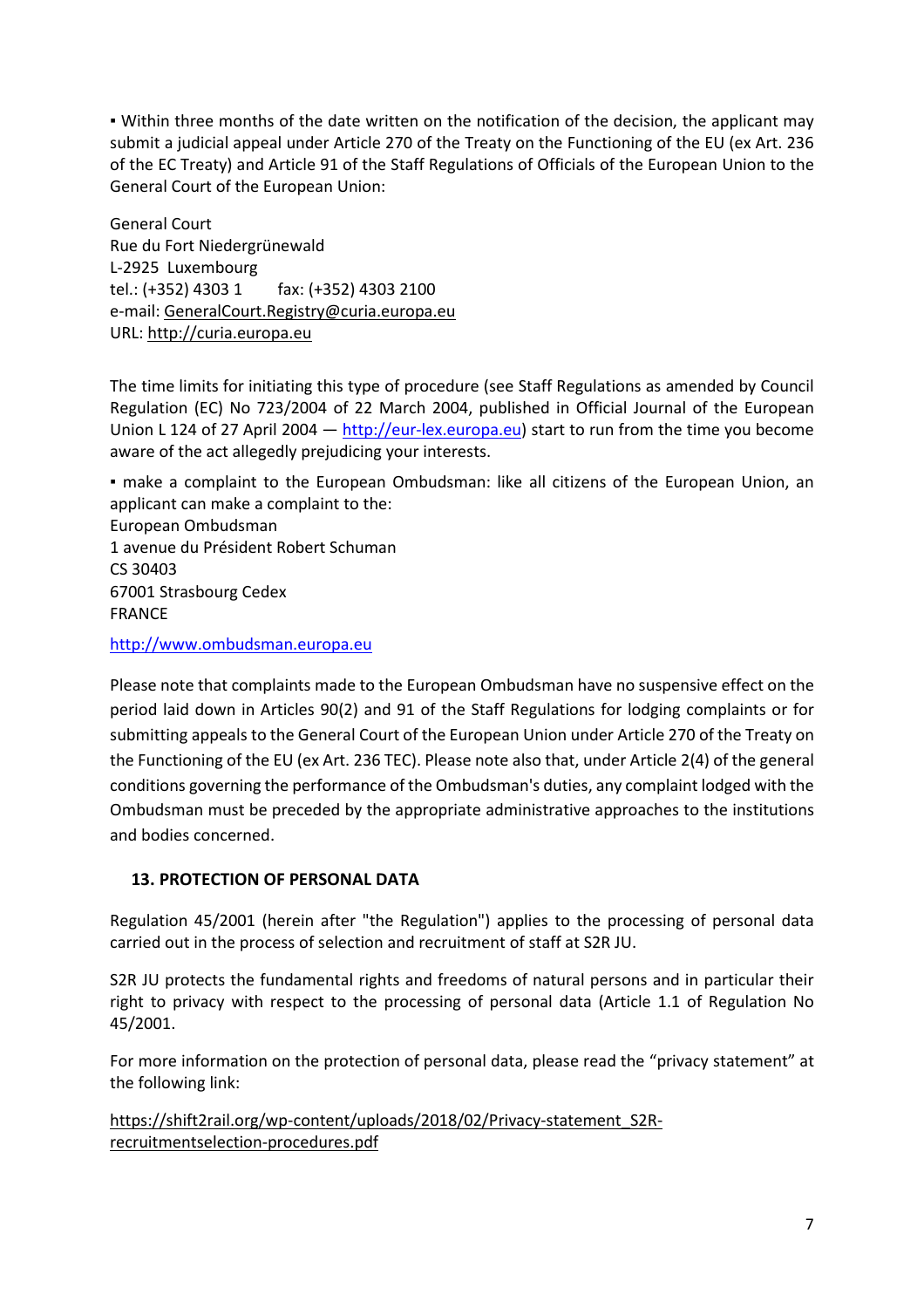▪ Within three months of the date written on the notification of the decision, the applicant may submit a judicial appeal under Article 270 of the Treaty on the Functioning of the EU (ex Art. 236 of the EC Treaty) and Article 91 of the Staff Regulations of Officials of the European Union to the General Court of the European Union:

General Court Rue du Fort Niedergrünewald L-2925 Luxembourg tel.: (+352) 4303 1 fax: (+352) 4303 2100 e-mail: [GeneralCourt.Registry@curia.europa.eu](mailto:GeneralCourt.Registry@curia.europa.eu) URL: [http://curia.europa.eu](http://curia.europa.eu/)

The time limits for initiating this type of procedure (see Staff Regulations as amended by Council Regulation (EC) No 723/2004 of 22 March 2004, published in Official Journal of the European Union L 124 of 27 April 2004  $-$  [http://eur-lex.europa.eu\)](http://eur-lex.europa.eu/) start to run from the time you become aware of the act allegedly prejudicing your interests.

▪ make a complaint to the European Ombudsman: like all citizens of the European Union, an applicant can make a complaint to the:

European Ombudsman 1 avenue du Président Robert Schuman CS 30403 67001 Strasbourg Cedex FRANCE

[http://www.ombudsman.europa.eu](http://www.ombudsman.europa.eu/)

Please note that complaints made to the European Ombudsman have no suspensive effect on the period laid down in Articles 90(2) and 91 of the Staff Regulations for lodging complaints or for submitting appeals to the General Court of the European Union under Article 270 of the Treaty on the Functioning of the EU (ex Art. 236 TEC). Please note also that, under Article 2(4) of the general conditions governing the performance of the Ombudsman's duties, any complaint lodged with the Ombudsman must be preceded by the appropriate administrative approaches to the institutions and bodies concerned.

## **13. PROTECTION OF PERSONAL DATA**

Regulation 45/2001 (herein after "the Regulation") applies to the processing of personal data carried out in the process of selection and recruitment of staff at S2R JU.

S2R JU protects the fundamental rights and freedoms of natural persons and in particular their right to privacy with respect to the processing of personal data (Article 1.1 of Regulation No 45/2001.

For more information on the protection of personal data, please read the "privacy statement" at the following link:

[https://shift2rail.org/wp-content/uploads/2018/02/Privacy-statement\\_S2R](https://shift2rail.org/wp-content/uploads/2018/02/Privacy-statement_S2R-recruitmentselection-procedures.pdf)[recruitmentselection-procedures.pdf](https://shift2rail.org/wp-content/uploads/2018/02/Privacy-statement_S2R-recruitmentselection-procedures.pdf)